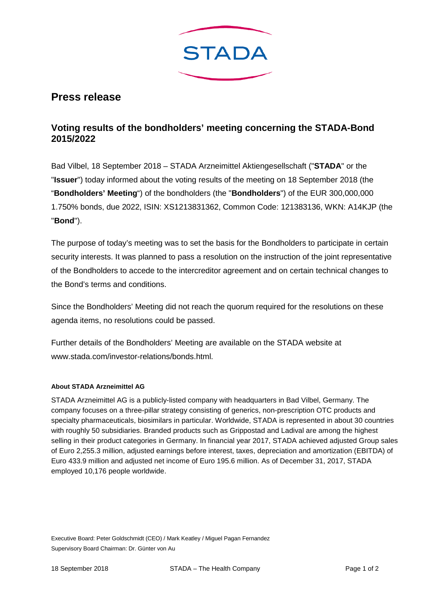

## **Press release**

## **Voting results of the bondholders' meeting concerning the STADA-Bond 2015/2022**

Bad Vilbel, 18 September 2018 – STADA Arzneimittel Aktiengesellschaft ("**STADA**" or the "**Issuer**") today informed about the voting results of the meeting on 18 September 2018 (the "**Bondholders' Meeting**") of the bondholders (the "**Bondholders**") of the EUR 300,000,000 1.750% bonds, due 2022, ISIN: XS1213831362, Common Code: 121383136, WKN: A14KJP (the "**Bond**").

The purpose of today's meeting was to set the basis for the Bondholders to participate in certain security interests. It was planned to pass a resolution on the instruction of the joint representative of the Bondholders to accede to the intercreditor agreement and on certain technical changes to the Bond's terms and conditions.

Since the Bondholders' Meeting did not reach the quorum required for the resolutions on these agenda items, no resolutions could be passed.

Further details of the Bondholders' Meeting are available on the STADA website at www.stada.com/investor-relations/bonds.html.

## **About STADA Arzneimittel AG**

STADA Arzneimittel AG is a publicly-listed company with headquarters in Bad Vilbel, Germany. The company focuses on a three-pillar strategy consisting of generics, non-prescription OTC products and specialty pharmaceuticals, biosimilars in particular. Worldwide, STADA is represented in about 30 countries with roughly 50 subsidiaries. Branded products such as Grippostad and Ladival are among the highest selling in their product categories in Germany. In financial year 2017, STADA achieved adjusted Group sales of Euro 2,255.3 million, adjusted earnings before interest, taxes, depreciation and amortization (EBITDA) of Euro 433.9 million and adjusted net income of Euro 195.6 million. As of December 31, 2017, STADA employed 10,176 people worldwide.

Executive Board: Peter Goldschmidt (CEO) / Mark Keatley / Miguel Pagan Fernandez Supervisory Board Chairman: Dr. Günter von Au